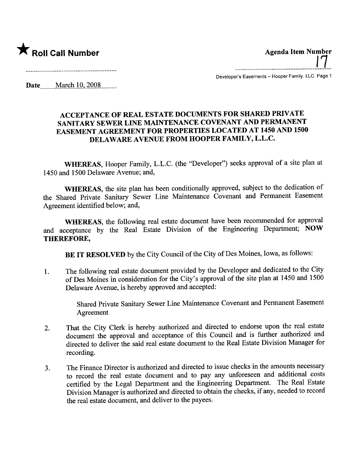

---\_.......................................................................................... /7 Developer's Easements - Hooper Family, LLC: Page 1

Date \_\_\_\_ March 10, 2008 \_\_\_\_\_\_

## ACCEPTANCE OF REAL ESTATE DOCUMENTS FOR SHARED PRIVATE SANITARY SEWER LINE MAINTENANCE COVENANT AND PERMANENT EASEMENT AGREEMENT FOR PROPERTIES LOCATED AT 1450 AND 1500 DELAWARE AVENUE FROM HOOPER FAMILY, L.L.C.

WHEREAS, Hooper Family, L.L.C. (the "Developer") seeks approval of a site plan at 1450 and 1500 Delaware Avenue; and,

WHEREAS, the site plan has been conditionally approved, subject to the dedication of the Shared Private Sanitary Sewer Line Maintenance Covenant and Permanent Easement Agreement identified below; and,

WHEREAS, the following real estate document have been recommended for approval and acceptance by the Real Estate Division of the Engineering Deparment; NOW THEREFORE,

BE IT RESOLVED by the City Council of the City of Des Moines, Iowa, as follows:

1. The following real estate document provided by the Developer and dedicated to the City of Des Moines in consideration for the City's approval of the site plan at 1450 and 1500 Delaware Avenue, is hereby approved and accepted:

> Shared Private Sanitary Sewer Line Maintenance Covenant and Permanent Easement Agreement

- 2. That the City Clerk is hereby authorized and directed to endorse upon the real estate document the approval and acceptance of this Council and is further authorized and directed to deliver the said real estate document to the Real Estate Division Manager for recording.
- 3. The Finance Director is authorized and directed to issue checks in the amounts necessary to record the real estate document and to pay any unforeseen and additional costs certified by the Legal Deparment and the Engineering Deparment. The Real Estate Division Manager is authorized and directed to obtain the checks, if any, needed to record the real estate document, and deliver to the payees.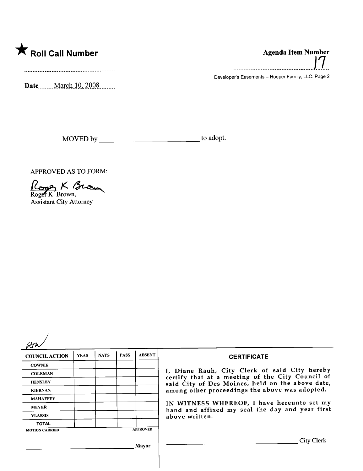

...............................................1.1..

Developer's Easements - Hooper Family, LLC: Page 2

Date<sub>.......</sub>...March 10, 2008.........

MOVED by to adopt.

APPROVED AS TO FORM:

APPROVED AS TO FORM<br>Roger K. Brown,

Assistant City Attorney

| <b>COUNCIL ACTION</b>                    | <b>YEAS</b> | <b>NAYS</b> | <b>PASS</b> | <b>ABSENT</b> | <b>CERTIFICATE</b>                                                                                                                                     |
|------------------------------------------|-------------|-------------|-------------|---------------|--------------------------------------------------------------------------------------------------------------------------------------------------------|
| <b>COWNIE</b>                            |             |             |             |               |                                                                                                                                                        |
| <b>COLEMAN</b>                           |             |             |             |               | I, Diane Rauh, City Clerk of said City hereby                                                                                                          |
| <b>HENSLEY</b>                           |             |             |             |               | certify that at a meeting of the City Council of<br>said City of Des Moines, held on the above date,<br>among other proceedings the above was adopted. |
| <b>KIERNAN</b>                           |             |             |             |               |                                                                                                                                                        |
| <b>MAHAFFEY</b>                          |             |             |             |               |                                                                                                                                                        |
| <b>MEYER</b>                             |             |             |             |               | IN WITNESS WHEREOF, I have hereunto set my<br>hand and affixed my seal the day and year first<br>above written.                                        |
| <b>VLASSIS</b>                           |             |             |             |               |                                                                                                                                                        |
| <b>TOTAL</b>                             |             |             |             |               |                                                                                                                                                        |
| <b>APPROVED</b><br><b>MOTION CARRIED</b> |             |             |             |               |                                                                                                                                                        |
|                                          |             |             |             | Mayor         | City Clerk                                                                                                                                             |